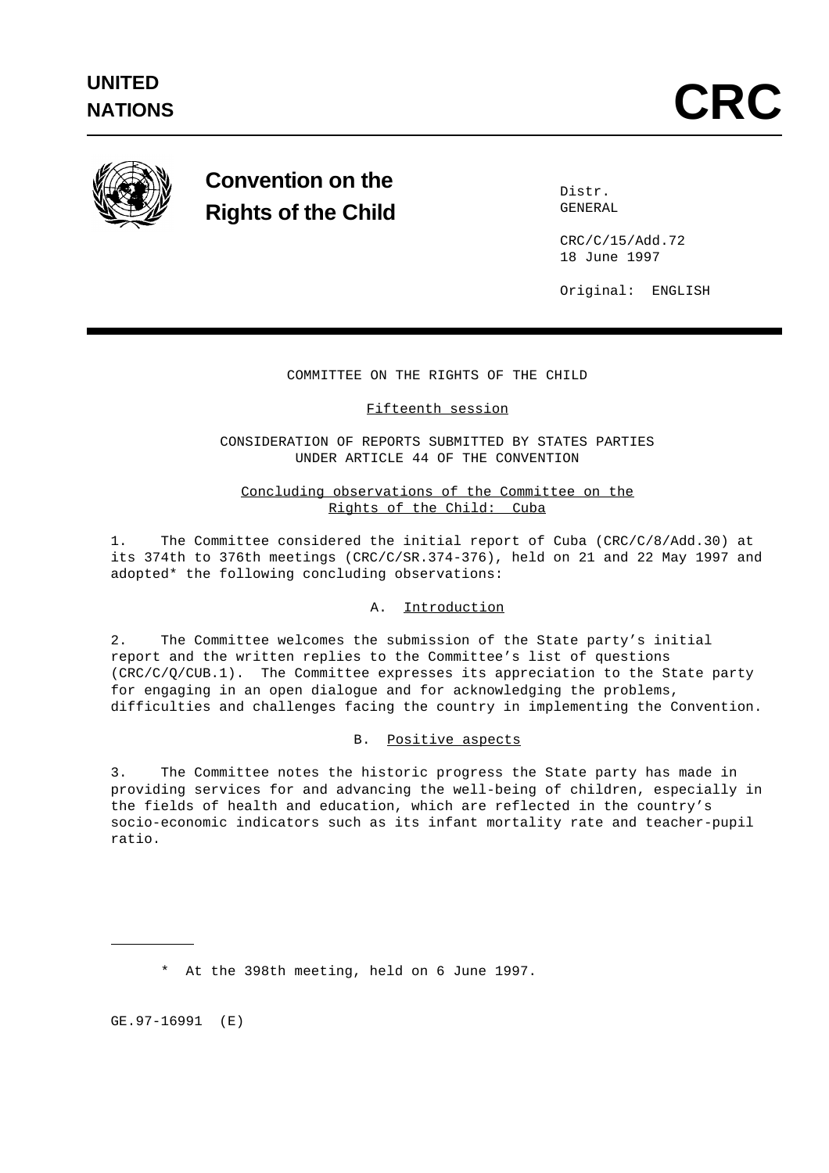

# **Convention on the Rights of the Child**

 Distr. GENERAL

 CRC/C/15/Add.72 18 June 1997

Original: ENGLISH

# COMMITTEE ON THE RIGHTS OF THE CHILD

# Fifteenth session

CONSIDERATION OF REPORTS SUBMITTED BY STATES PARTIES UNDER ARTICLE 44 OF THE CONVENTION

# Concluding observations of the Committee on the Rights of the Child: Cuba

1. The Committee considered the initial report of Cuba (CRC/C/8/Add.30) at its 374th to 376th meetings (CRC/C/SR.374-376), held on 21 and 22 May 1997 and adopted\* the following concluding observations:

# A. Introduction

2. The Committee welcomes the submission of the State party's initial report and the written replies to the Committee's list of questions (CRC/C/Q/CUB.1). The Committee expresses its appreciation to the State party for engaging in an open dialogue and for acknowledging the problems, difficulties and challenges facing the country in implementing the Convention.

# B. Positive aspects

3. The Committee notes the historic progress the State party has made in providing services for and advancing the well-being of children, especially in the fields of health and education, which are reflected in the country's socio-economic indicators such as its infant mortality rate and teacher-pupil ratio.

\* At the 398th meeting, held on 6 June 1997.

GE.97-16991 (E)

L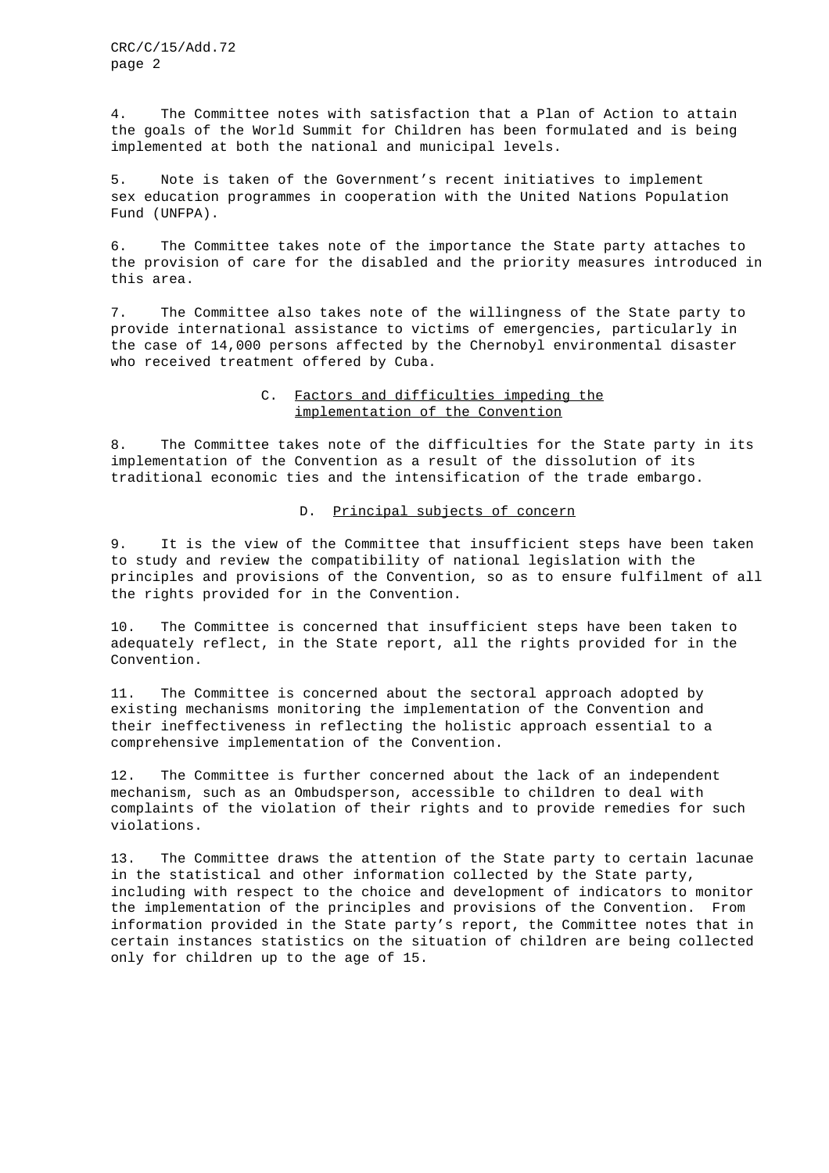CRC/C/15/Add.72 page 2

4. The Committee notes with satisfaction that a Plan of Action to attain the goals of the World Summit for Children has been formulated and is being implemented at both the national and municipal levels.

5. Note is taken of the Government's recent initiatives to implement sex education programmes in cooperation with the United Nations Population Fund (UNFPA).

6. The Committee takes note of the importance the State party attaches to the provision of care for the disabled and the priority measures introduced in this area.

7. The Committee also takes note of the willingness of the State party to provide international assistance to victims of emergencies, particularly in the case of 14,000 persons affected by the Chernobyl environmental disaster who received treatment offered by Cuba.

## C. Factors and difficulties impeding the implementation of the Convention

8. The Committee takes note of the difficulties for the State party in its implementation of the Convention as a result of the dissolution of its traditional economic ties and the intensification of the trade embargo.

### D. Principal subjects of concern

9. It is the view of the Committee that insufficient steps have been taken to study and review the compatibility of national legislation with the principles and provisions of the Convention, so as to ensure fulfilment of all the rights provided for in the Convention.

10. The Committee is concerned that insufficient steps have been taken to adequately reflect, in the State report, all the rights provided for in the Convention.

11. The Committee is concerned about the sectoral approach adopted by existing mechanisms monitoring the implementation of the Convention and their ineffectiveness in reflecting the holistic approach essential to a comprehensive implementation of the Convention.

12. The Committee is further concerned about the lack of an independent mechanism, such as an Ombudsperson, accessible to children to deal with complaints of the violation of their rights and to provide remedies for such violations.

13. The Committee draws the attention of the State party to certain lacunae in the statistical and other information collected by the State party, including with respect to the choice and development of indicators to monitor the implementation of the principles and provisions of the Convention. From information provided in the State party's report, the Committee notes that in certain instances statistics on the situation of children are being collected only for children up to the age of 15.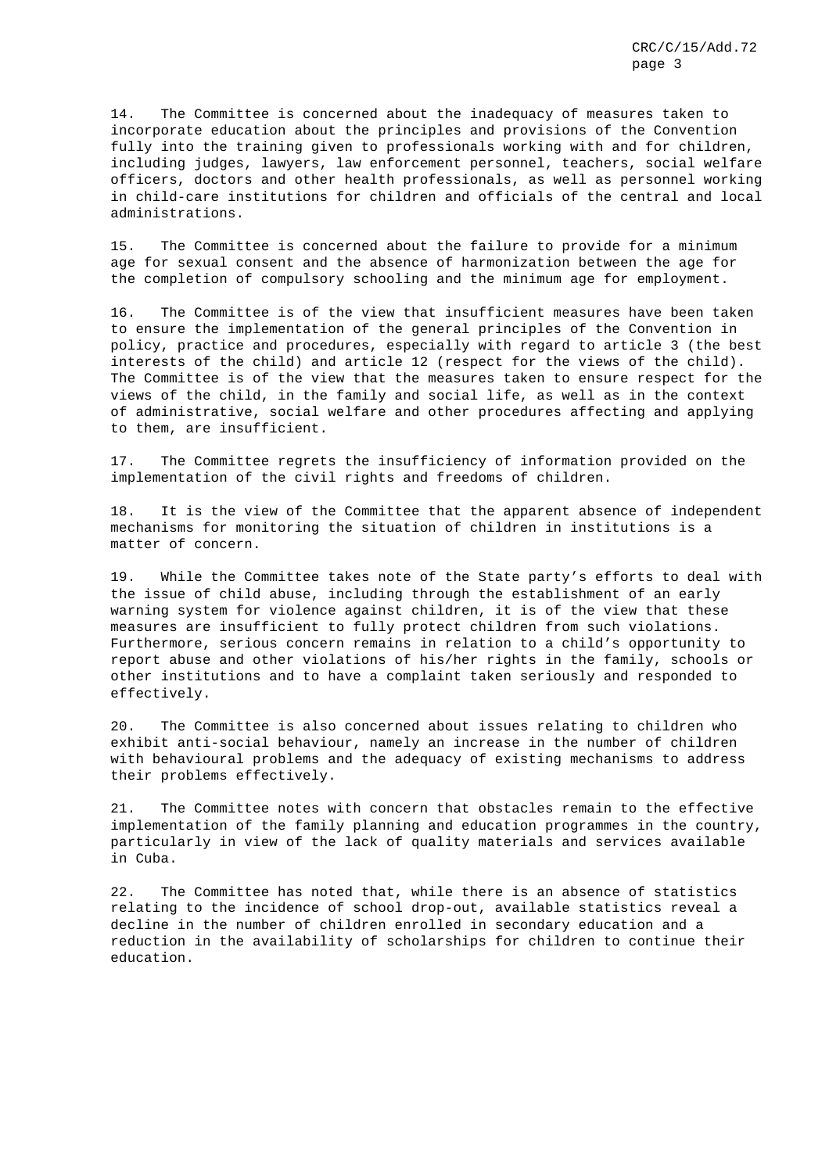14. The Committee is concerned about the inadequacy of measures taken to incorporate education about the principles and provisions of the Convention fully into the training given to professionals working with and for children, including judges, lawyers, law enforcement personnel, teachers, social welfare officers, doctors and other health professionals, as well as personnel working in child-care institutions for children and officials of the central and local administrations.

15. The Committee is concerned about the failure to provide for a minimum age for sexual consent and the absence of harmonization between the age for the completion of compulsory schooling and the minimum age for employment.

16. The Committee is of the view that insufficient measures have been taken to ensure the implementation of the general principles of the Convention in policy, practice and procedures, especially with regard to article 3 (the best interests of the child) and article 12 (respect for the views of the child). The Committee is of the view that the measures taken to ensure respect for the views of the child, in the family and social life, as well as in the context of administrative, social welfare and other procedures affecting and applying to them, are insufficient.

17. The Committee regrets the insufficiency of information provided on the implementation of the civil rights and freedoms of children.

18. It is the view of the Committee that the apparent absence of independent mechanisms for monitoring the situation of children in institutions is a matter of concern.

19. While the Committee takes note of the State party's efforts to deal with the issue of child abuse, including through the establishment of an early warning system for violence against children, it is of the view that these measures are insufficient to fully protect children from such violations. Furthermore, serious concern remains in relation to a child's opportunity to report abuse and other violations of his/her rights in the family, schools or other institutions and to have a complaint taken seriously and responded to effectively.

20. The Committee is also concerned about issues relating to children who exhibit anti-social behaviour, namely an increase in the number of children with behavioural problems and the adequacy of existing mechanisms to address their problems effectively.

21. The Committee notes with concern that obstacles remain to the effective implementation of the family planning and education programmes in the country, particularly in view of the lack of quality materials and services available in Cuba.

22. The Committee has noted that, while there is an absence of statistics relating to the incidence of school drop-out, available statistics reveal a decline in the number of children enrolled in secondary education and a reduction in the availability of scholarships for children to continue their education.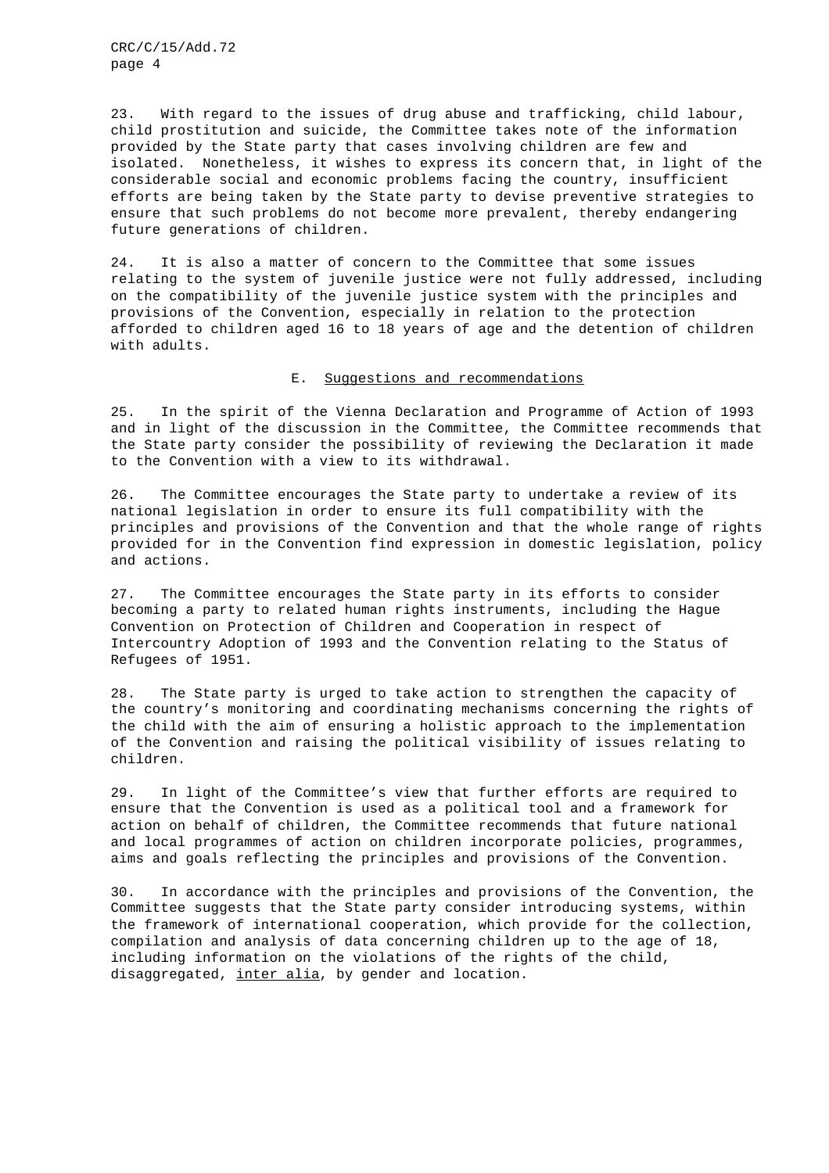CRC/C/15/Add.72 page 4

23. With regard to the issues of drug abuse and trafficking, child labour, child prostitution and suicide, the Committee takes note of the information provided by the State party that cases involving children are few and isolated. Nonetheless, it wishes to express its concern that, in light of the considerable social and economic problems facing the country, insufficient efforts are being taken by the State party to devise preventive strategies to ensure that such problems do not become more prevalent, thereby endangering future generations of children.

24. It is also a matter of concern to the Committee that some issues relating to the system of juvenile justice were not fully addressed, including on the compatibility of the juvenile justice system with the principles and provisions of the Convention, especially in relation to the protection afforded to children aged 16 to 18 years of age and the detention of children with adults.

### E. Suggestions and recommendations

25. In the spirit of the Vienna Declaration and Programme of Action of 1993 and in light of the discussion in the Committee, the Committee recommends that the State party consider the possibility of reviewing the Declaration it made to the Convention with a view to its withdrawal.

26. The Committee encourages the State party to undertake a review of its national legislation in order to ensure its full compatibility with the principles and provisions of the Convention and that the whole range of rights provided for in the Convention find expression in domestic legislation, policy and actions.

27. The Committee encourages the State party in its efforts to consider becoming a party to related human rights instruments, including the Hague Convention on Protection of Children and Cooperation in respect of Intercountry Adoption of 1993 and the Convention relating to the Status of Refugees of 1951.

28. The State party is urged to take action to strengthen the capacity of the country's monitoring and coordinating mechanisms concerning the rights of the child with the aim of ensuring a holistic approach to the implementation of the Convention and raising the political visibility of issues relating to children.

29. In light of the Committee's view that further efforts are required to ensure that the Convention is used as a political tool and a framework for action on behalf of children, the Committee recommends that future national and local programmes of action on children incorporate policies, programmes, aims and goals reflecting the principles and provisions of the Convention.

30. In accordance with the principles and provisions of the Convention, the Committee suggests that the State party consider introducing systems, within the framework of international cooperation, which provide for the collection, compilation and analysis of data concerning children up to the age of 18, including information on the violations of the rights of the child, disaggregated, inter alia, by gender and location.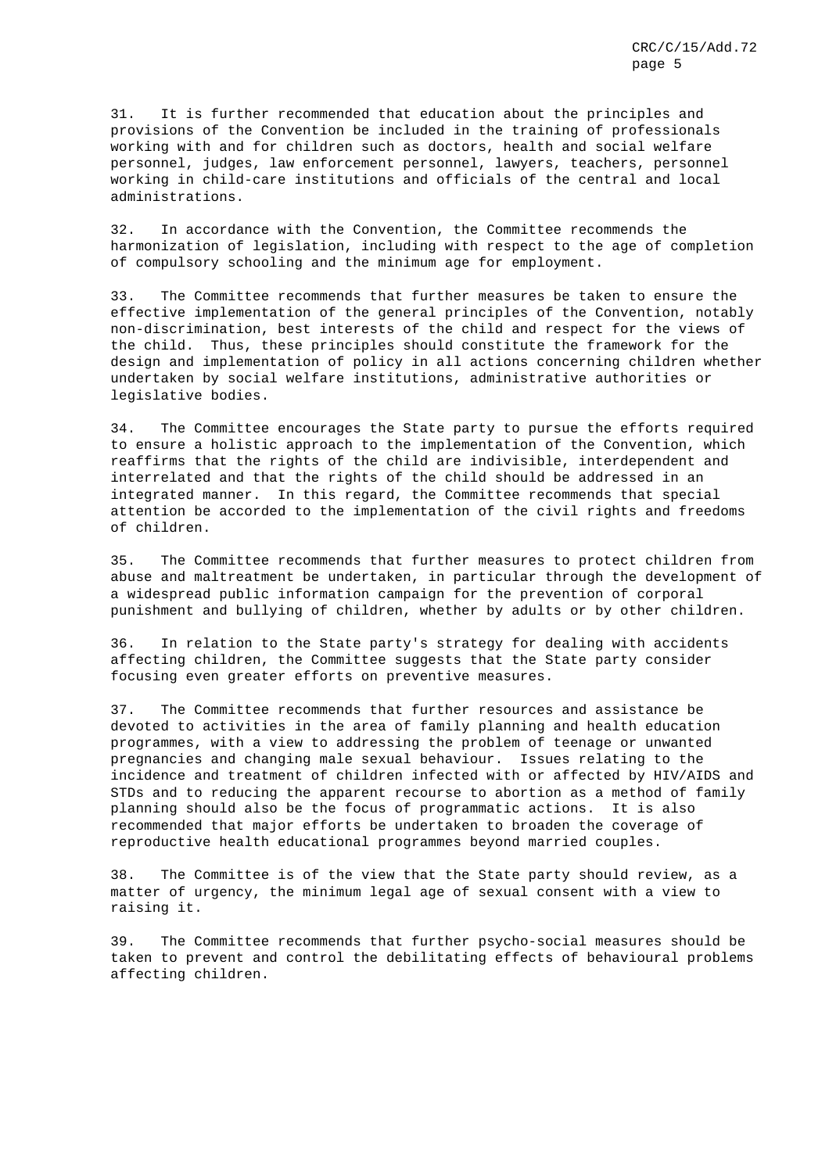31. It is further recommended that education about the principles and provisions of the Convention be included in the training of professionals working with and for children such as doctors, health and social welfare personnel, judges, law enforcement personnel, lawyers, teachers, personnel working in child-care institutions and officials of the central and local administrations.

32. In accordance with the Convention, the Committee recommends the harmonization of legislation, including with respect to the age of completion of compulsory schooling and the minimum age for employment.

33. The Committee recommends that further measures be taken to ensure the effective implementation of the general principles of the Convention, notably non-discrimination, best interests of the child and respect for the views of the child. Thus, these principles should constitute the framework for the design and implementation of policy in all actions concerning children whether undertaken by social welfare institutions, administrative authorities or legislative bodies.

34. The Committee encourages the State party to pursue the efforts required to ensure a holistic approach to the implementation of the Convention, which reaffirms that the rights of the child are indivisible, interdependent and interrelated and that the rights of the child should be addressed in an integrated manner. In this regard, the Committee recommends that special attention be accorded to the implementation of the civil rights and freedoms of children.

35. The Committee recommends that further measures to protect children from abuse and maltreatment be undertaken, in particular through the development of a widespread public information campaign for the prevention of corporal punishment and bullying of children, whether by adults or by other children.

36. In relation to the State party's strategy for dealing with accidents affecting children, the Committee suggests that the State party consider focusing even greater efforts on preventive measures.

37. The Committee recommends that further resources and assistance be devoted to activities in the area of family planning and health education programmes, with a view to addressing the problem of teenage or unwanted pregnancies and changing male sexual behaviour. Issues relating to the incidence and treatment of children infected with or affected by HIV/AIDS and STDs and to reducing the apparent recourse to abortion as a method of family planning should also be the focus of programmatic actions. It is also recommended that major efforts be undertaken to broaden the coverage of reproductive health educational programmes beyond married couples.

38. The Committee is of the view that the State party should review, as a matter of urgency, the minimum legal age of sexual consent with a view to raising it.

39. The Committee recommends that further psycho-social measures should be taken to prevent and control the debilitating effects of behavioural problems affecting children.